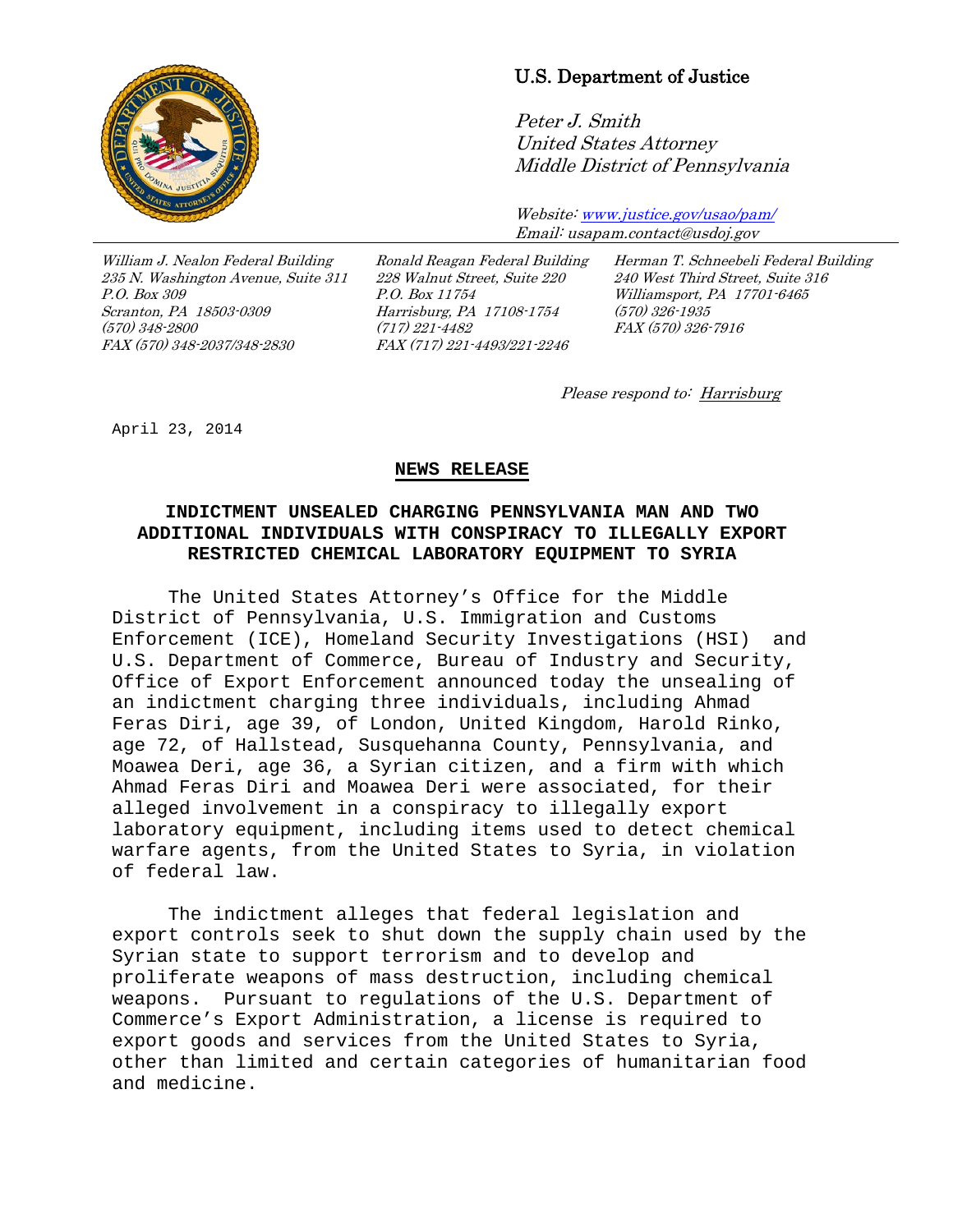

## U.S. Department of Justice

Peter J. Smith United States Attorney Middle District of Pennsylvania

Website[: www.justice.gov/usao/pam/](http://www.justice.gov/usao/pam/) Email: usapam.contact@usdoj.gov

William J. Nealon Federal Building 235 N. Washington Avenue, Suite 311 P.O. Box 309 Scranton, PA 18503-0309 (570) 348-2800 FAX (570) 348-2037/348-2830

Ronald Reagan Federal Building 228 Walnut Street, Suite 220 P.O. Box 11754 Harrisburg, PA 17108-1754 (717) 221-4482 FAX (717) 221-4493/221-2246

Herman T. Schneebeli Federal Building 240 West Third Street, Suite 316 Williamsport, PA 17701-6465 (570) 326-1935 FAX (570) 326-7916

Please respond to: Harrisburg

April 23, 2014

## **NEWS RELEASE**

## **INDICTMENT UNSEALED CHARGING PENNSYLVANIA MAN AND TWO ADDITIONAL INDIVIDUALS WITH CONSPIRACY TO ILLEGALLY EXPORT RESTRICTED CHEMICAL LABORATORY EQUIPMENT TO SYRIA**

The United States Attorney's Office for the Middle District of Pennsylvania, U.S. Immigration and Customs Enforcement (ICE), Homeland Security Investigations (HSI) and U.S. Department of Commerce, Bureau of Industry and Security, Office of Export Enforcement announced today the unsealing of an indictment charging three individuals, including Ahmad Feras Diri, age 39, of London, United Kingdom, Harold Rinko, age 72, of Hallstead, Susquehanna County, Pennsylvania, and Moawea Deri, age 36, a Syrian citizen, and a firm with which Ahmad Feras Diri and Moawea Deri were associated, for their alleged involvement in a conspiracy to illegally export laboratory equipment, including items used to detect chemical warfare agents, from the United States to Syria, in violation of federal law.

The indictment alleges that federal legislation and export controls seek to shut down the supply chain used by the Syrian state to support terrorism and to develop and proliferate weapons of mass destruction, including chemical weapons. Pursuant to regulations of the U.S. Department of Commerce's Export Administration, a license is required to export goods and services from the United States to Syria, other than limited and certain categories of humanitarian food and medicine.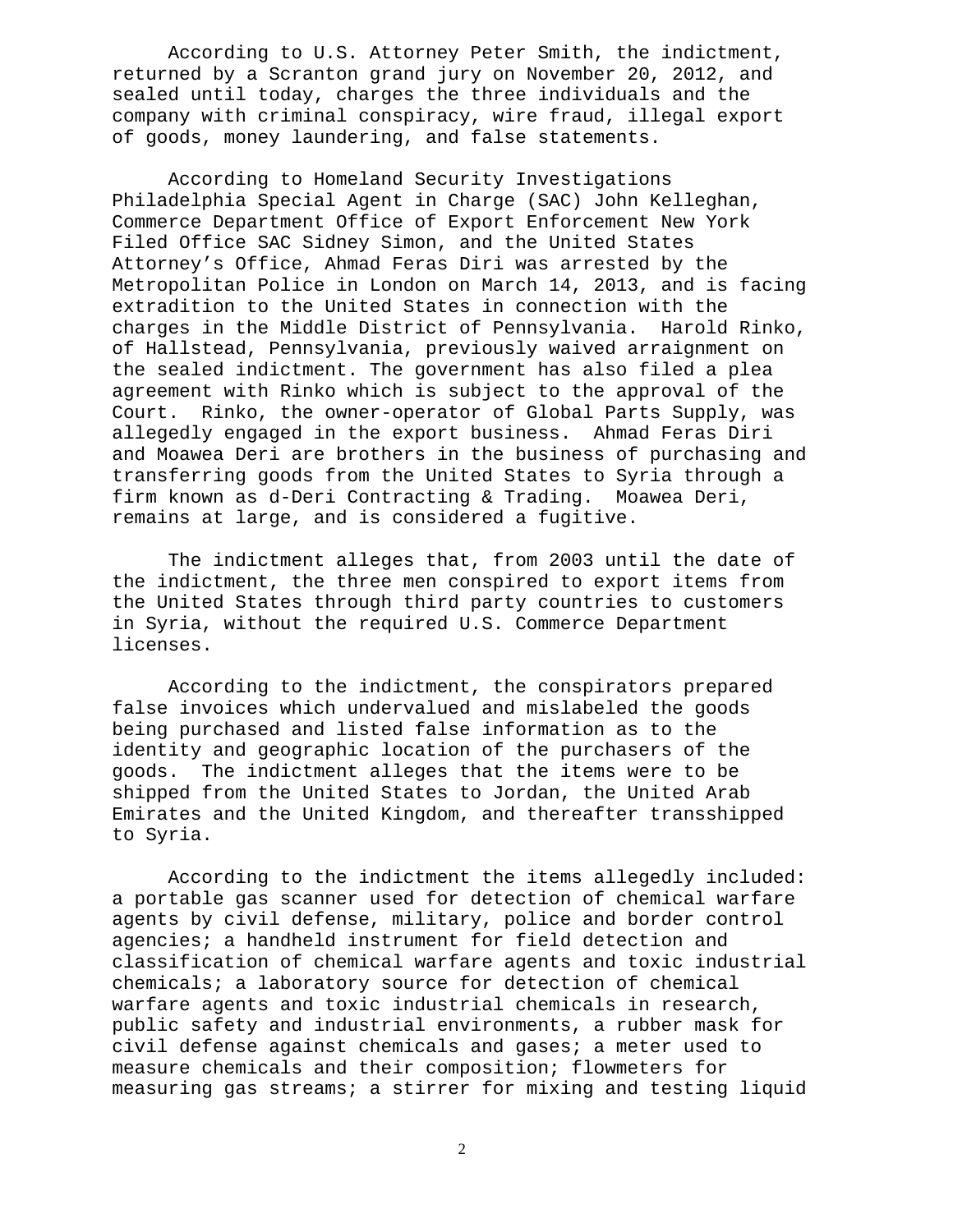According to U.S. Attorney Peter Smith, the indictment, returned by a Scranton grand jury on November 20, 2012, and sealed until today, charges the three individuals and the company with criminal conspiracy, wire fraud, illegal export of goods, money laundering, and false statements.

According to Homeland Security Investigations Philadelphia Special Agent in Charge (SAC) John Kelleghan, Commerce Department Office of Export Enforcement New York Filed Office SAC Sidney Simon, and the United States Attorney's Office, Ahmad Feras Diri was arrested by the Metropolitan Police in London on March 14, 2013, and is facing extradition to the United States in connection with the charges in the Middle District of Pennsylvania. Harold Rinko, of Hallstead, Pennsylvania, previously waived arraignment on the sealed indictment. The government has also filed a plea agreement with Rinko which is subject to the approval of the Court. Rinko, the owner-operator of Global Parts Supply, was allegedly engaged in the export business. Ahmad Feras Diri and Moawea Deri are brothers in the business of purchasing and transferring goods from the United States to Syria through a firm known as d-Deri Contracting & Trading. Moawea Deri, remains at large, and is considered a fugitive.

The indictment alleges that, from 2003 until the date of the indictment, the three men conspired to export items from the United States through third party countries to customers in Syria, without the required U.S. Commerce Department licenses.

According to the indictment, the conspirators prepared false invoices which undervalued and mislabeled the goods being purchased and listed false information as to the identity and geographic location of the purchasers of the goods. The indictment alleges that the items were to be shipped from the United States to Jordan, the United Arab Emirates and the United Kingdom, and thereafter transshipped to Syria.

According to the indictment the items allegedly included: a portable gas scanner used for detection of chemical warfare agents by civil defense, military, police and border control agencies; a handheld instrument for field detection and classification of chemical warfare agents and toxic industrial chemicals; a laboratory source for detection of chemical warfare agents and toxic industrial chemicals in research, public safety and industrial environments, a rubber mask for civil defense against chemicals and gases; a meter used to measure chemicals and their composition; flowmeters for measuring gas streams; a stirrer for mixing and testing liquid

2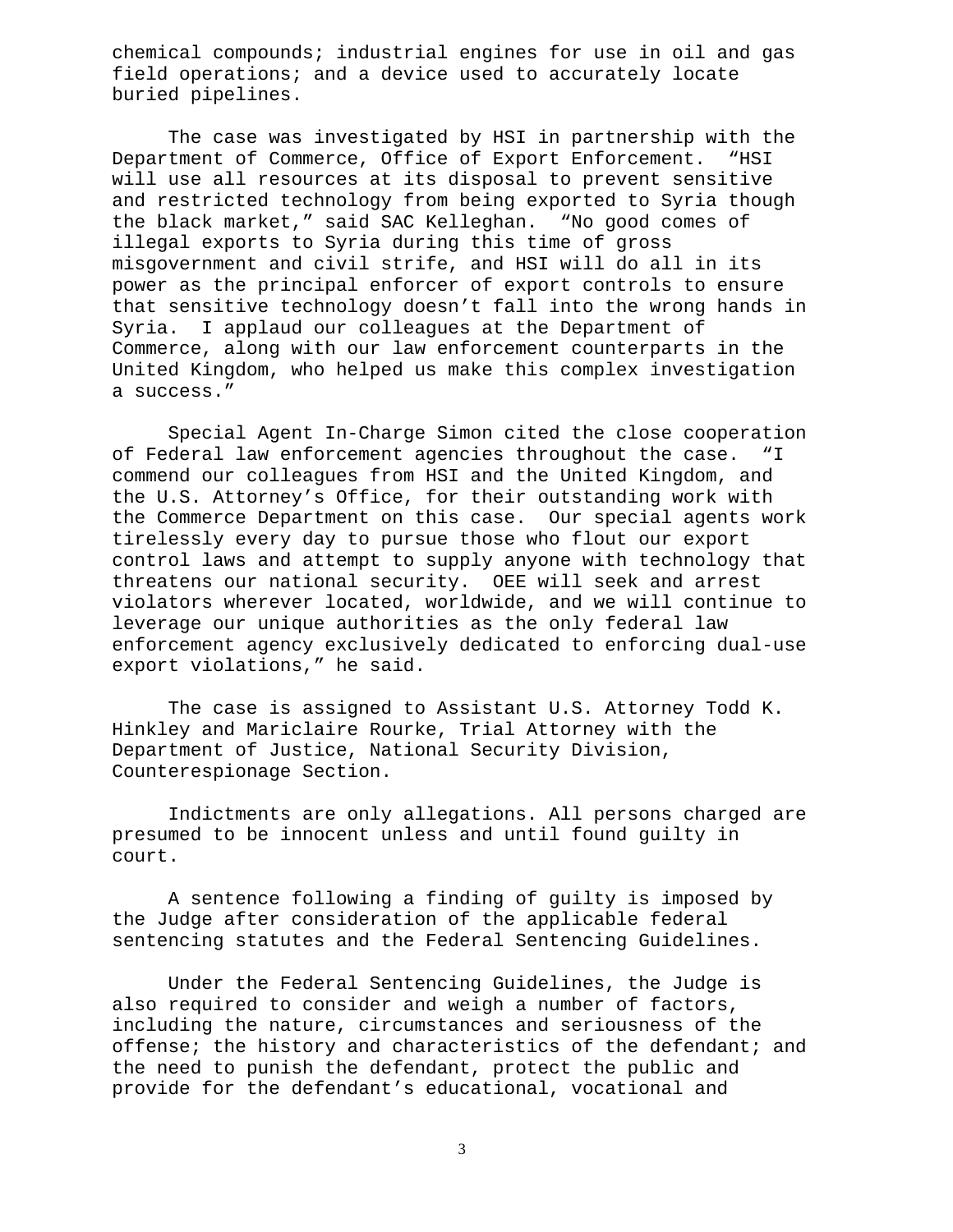chemical compounds; industrial engines for use in oil and gas field operations; and a device used to accurately locate buried pipelines.

The case was investigated by HSI in partnership with the Department of Commerce, Office of Export Enforcement. "HSI will use all resources at its disposal to prevent sensitive and restricted technology from being exported to Syria though the black market," said SAC Kelleghan. "No good comes of illegal exports to Syria during this time of gross misgovernment and civil strife, and HSI will do all in its power as the principal enforcer of export controls to ensure that sensitive technology doesn't fall into the wrong hands in<br>Syria. I applaud our colleagues at the Department of I applaud our colleagues at the Department of Commerce, along with our law enforcement counterparts in the United Kingdom, who helped us make this complex investigation a success."

Special Agent In-Charge Simon cited the close cooperation of Federal law enforcement agencies throughout the case. "I commend our colleagues from HSI and the United Kingdom, and the U.S. Attorney's Office, for their outstanding work with the Commerce Department on this case. Our special agents work tirelessly every day to pursue those who flout our export control laws and attempt to supply anyone with technology that threatens our national security. OEE will seek and arrest violators wherever located, worldwide, and we will continue to leverage our unique authorities as the only federal law enforcement agency exclusively dedicated to enforcing dual-use export violations," he said.

The case is assigned to Assistant U.S. Attorney Todd K. Hinkley and Mariclaire Rourke, Trial Attorney with the Department of Justice, National Security Division, Counterespionage Section.

Indictments are only allegations. All persons charged are presumed to be innocent unless and until found guilty in court.

A sentence following a finding of guilty is imposed by the Judge after consideration of the applicable federal sentencing statutes and the Federal Sentencing Guidelines.

 Under the Federal Sentencing Guidelines, the Judge is also required to consider and weigh a number of factors, including the nature, circumstances and seriousness of the offense; the history and characteristics of the defendant; and the need to punish the defendant, protect the public and provide for the defendant's educational, vocational and